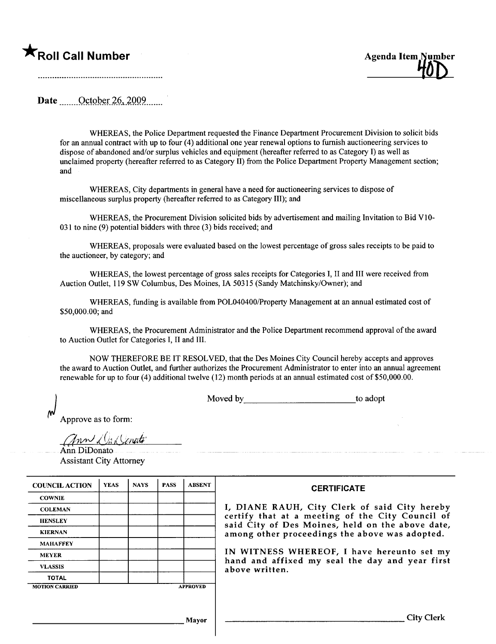## **The Second Call Number** Agenda Item Number Agenda Item Number



Date  $\qquad$  October 26, 2009.

WHEREAS, the Police Department requested the Finance Department Procurement Division to solicit bids for an annual contract with up to four (4) additional one year renewal options to furish auctioneering services to dispose of abandoned and/or surplus vehicles and equipment (hereafter referred to as Category I) as well as unclaimed property (hereafter referred to as Category II) from the Police Department Property Management section; and

WHEREAS, City departments in general have a need for auctioneering services to dispose of miscellaneous surplus property (hereafter referred to as Category III); and

WHEREAS, the Procurement Division solicited bids by advertisement and mailing Invitation to Bid VIO-031 to nine (9) potential bidders with three (3) bids received; and

WHEREAS, proposals were evaluated based on the lowest percentage of gross sales receipts to be paid to the auctioneer, by category; and

WHEREAS, the lowest percentage of gross sales receipts for Categories I, II and II were received from Auction Outlet, 119 SW Columbus, Des Moines, IA 50315 (Sandy Matchinsky/Owner); and

WHEREAS, funding is available from POL040400/Property Management at an annual estimated cost of \$50,000.00; and

WHEREAS, the Procurement Administrator and the Police Deparment recommend approval of the award to Auction Outlet for Categories I, II and III.

NOW THEREFORE BE IT RESOLVED, that the Des Moines City Council hereby accepts and approves the award to Auction Outlet, and further authorizes the Procurement Administrator to enter into an annual agreement renewable for up to four (4) additional twelve (12) month periods at an annual estimated cost of \$50,000.00.

Moved by to adopt

<u> 1989 - Jan James James Jan James James James James James James James James James James James James James Ja</u>

Approve as to form:

 $(1)$ un il la Kenati

Ann DiDonato Assistant City Attorney

| <b>COUNCIL ACTION</b> | <b>YEAS</b> | <b>NAVS</b> | <b>PASS</b> | <b>ABSENT</b>   | <b>CERTIFICATE</b>                                               |
|-----------------------|-------------|-------------|-------------|-----------------|------------------------------------------------------------------|
| <b>COWNIE</b>         |             |             |             |                 |                                                                  |
| <b>COLEMAN</b>        |             |             |             |                 | I, DIANE RAUH, City Clerk o                                      |
| <b>HENSLEY</b>        |             |             |             |                 | certify that at a meeting of tl<br>said City of Des Moines, held |
| <b>KIERNAN</b>        |             |             |             |                 | among other proceedings the al                                   |
| <b>MAHAFFEY</b>       |             |             |             |                 |                                                                  |
| <b>MEYER</b>          |             |             |             |                 | IN WITNESS WHEREOF, I have                                       |
| <b>VLASSIS</b>        |             |             |             |                 | hand and affixed my seal the<br>above written.                   |
| <b>TOTAL</b>          |             |             |             |                 |                                                                  |
| <b>MOTION CARRIED</b> |             |             |             | <b>APPROVED</b> |                                                                  |
|                       |             |             |             |                 |                                                                  |

Clerk of said City hereby g of the City Council of s, held on the above date, s the above was adopted.

F, I have hereunto set my eal the day and year first

Mayor City Clerk